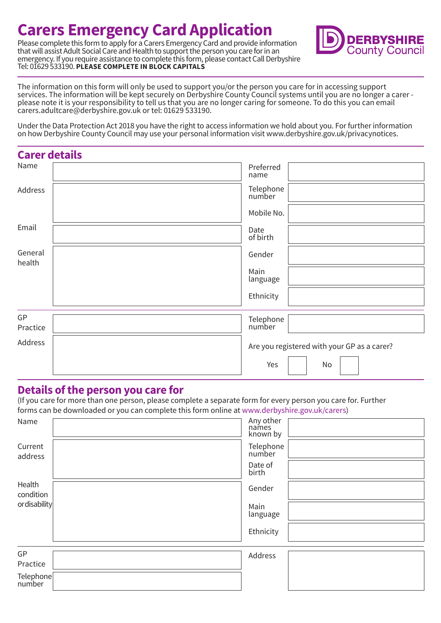## **Carers Emergency Card Application**

Please complete this form to apply for a Carers Emergency Card and provide information that will assist Adult Social Care and Health to support the person you care for in an emergency. If you require assistance to complete this form, please contact Call Derbyshire Tel: 01629 533190. **PLEASE COMPLETE IN BLOCK CAPITALS**



The information on this form will only be used to support you/or the person you care for in accessing support services. The information will be kept securely on Derbyshire County Council systems until you are no longer a carer please note it is your responsibility to tell us that you are no longer caring for someone. To do this you can email carers.adultcare@derbyshire.gov.uk or tel: 01629 533190.

Under the Data Protection Act 2018 you have the right to access information we hold about you. For further information on how Derbyshire County Council may use your personal information visit www.derbyshire.gov.uk/privacynotices.

| <b>Carer details</b> |                                             |
|----------------------|---------------------------------------------|
| Name                 | Preferred<br>name                           |
| Address              | Telephone<br>number                         |
|                      | Mobile No.                                  |
| Email                | Date<br>of birth                            |
| General<br>health    | Gender                                      |
|                      | Main<br>language                            |
|                      | Ethnicity                                   |
| GP                   |                                             |
| Practice             | Telephone<br>number                         |
| Address              | Are you registered with your GP as a carer? |
|                      | Yes<br>No                                   |

## **Details of the person you care for**

(If you care for more than one person, please complete a separate form for every person you care for. Further forms can be downloaded or you can complete this form online at www.derbyshire.gov.uk/carers)

| Name                | Any other<br>names<br>known by |  |
|---------------------|--------------------------------|--|
| Current<br>address  | Telephone<br>number            |  |
|                     | Date of<br>birth               |  |
| Health<br>condition | Gender                         |  |
| ordisability        | Main<br>language               |  |
|                     | Ethnicity                      |  |
| GP                  | Address                        |  |
| Practice            |                                |  |
| Telephone<br>number |                                |  |